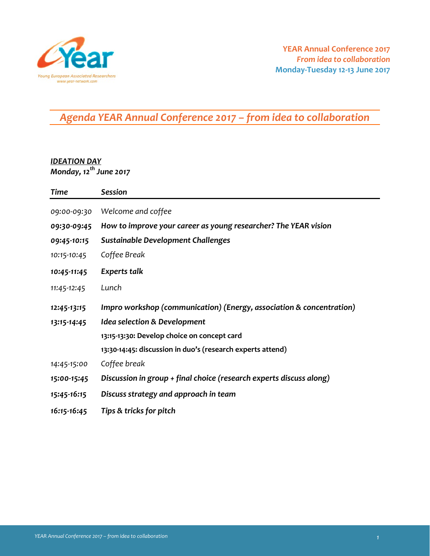

## *Agenda YEAR Annual Conference 2017 – from idea to collaboration*

## *IDEATION DAY*

*Monday, 12th June 2017*

| Time        | <b>Session</b>                                                       |  |
|-------------|----------------------------------------------------------------------|--|
| 09:00-09:30 | Welcome and coffee                                                   |  |
| 09:30-09:45 | How to improve your career as young researcher? The YEAR vision      |  |
| 09:45-10:15 | <b>Sustainable Development Challenges</b>                            |  |
| 10:15-10:45 | Coffee Break                                                         |  |
| 10:45-11:45 | Experts talk                                                         |  |
| 11:45-12:45 | Lunch                                                                |  |
| 12:45-13:15 | Impro workshop (communication) (Energy, association & concentration) |  |
| 13:15-14:45 | <b>Idea selection &amp; Development</b>                              |  |
|             | 13:15-13:30: Develop choice on concept card                          |  |
|             | 13:30-14:45: discussion in duo's (research experts attend)           |  |
| 14:45-15:00 | Coffee break                                                         |  |
| 15:00-15:45 | Discussion in group + final choice (research experts discuss along)  |  |
| 15:45-16:15 | Discuss strategy and approach in team                                |  |
| 16:15-16:45 | Tips & tricks for pitch                                              |  |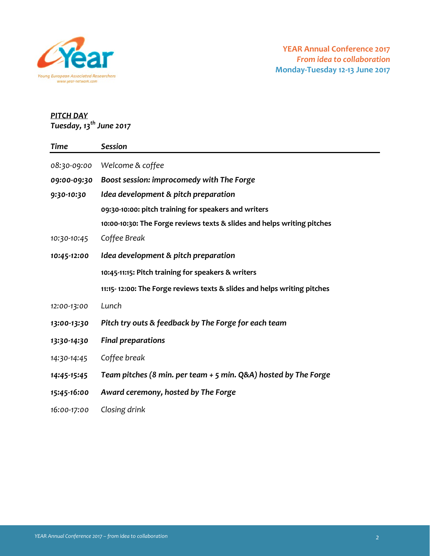

## *PITCH DAY*

*Tuesday, 13th June 2017*

| <b>Time</b> | Session                                                                 |  |
|-------------|-------------------------------------------------------------------------|--|
| 08:30-09:00 | Welcome & coffee                                                        |  |
| 09:00-09:30 | Boost session: improcomedy with The Forge                               |  |
| 9:30-10:30  | Idea development & pitch preparation                                    |  |
|             | 09:30-10:00: pitch training for speakers and writers                    |  |
|             | 10:00-10:30: The Forge reviews texts & slides and helps writing pitches |  |
| 10:30-10:45 | Coffee Break                                                            |  |
| 10:45-12:00 | Idea development & pitch preparation                                    |  |
|             | 10:45-11:15: Pitch training for speakers & writers                      |  |
|             | 11:15-12:00: The Forge reviews texts & slides and helps writing pitches |  |
| 12:00-13:00 | Lunch                                                                   |  |
| 13:00-13:30 | Pitch try outs & feedback by The Forge for each team                    |  |
| 13:30-14:30 | <b>Final preparations</b>                                               |  |
| 14:30-14:45 | Coffee break                                                            |  |
| 14:45-15:45 | Team pitches (8 min. per team + 5 min. Q&A) hosted by The Forge         |  |
| 15:45-16:00 | Award ceremony, hosted by The Forge                                     |  |
| 16:00-17:00 | Closing drink                                                           |  |